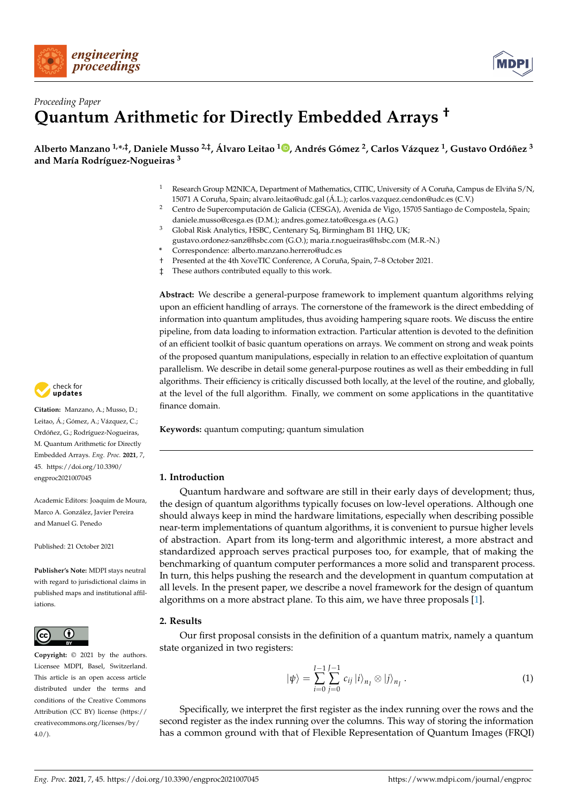



# *Proceeding Paper* **Quantum Arithmetic for Directly Embedded Arrays †**

**Alberto Manzano 1,\* ,‡, Daniele Musso 2,‡, Álvaro Leitao <sup>1</sup> [,](https://orcid.org/0000-0002-3442-4587) Andrés Gómez <sup>2</sup> , Carlos Vázquez <sup>1</sup> , Gustavo Ordóñez <sup>3</sup> and María Rodríguez-Nogueiras <sup>3</sup>**

- <sup>1</sup> Research Group M2NICA, Department of Mathematics, CITIC, University of A Coruña, Campus de Elviña S/N, 15071 A Coruña, Spain; alvaro.leitao@udc.gal (Á.L.); carlos.vazquez.cendon@udc.es (C.V.)
- <sup>2</sup> Centro de Supercomputación de Galicia (CESGA), Avenida de Vigo, 15705 Santiago de Compostela, Spain; daniele.musso@cesga.es (D.M.); andres.gomez.tato@cesga.es (A.G.)
- <sup>3</sup> Global Risk Analytics, HSBC, Centenary Sq, Birmingham B1 1HQ, UK; gustavo.ordonez-sanz@hsbc.com (G.O.); maria.r.nogueiras@hsbc.com (M.R.-N.)
- **\*** Correspondence: alberto.manzano.herrero@udc.es
- † Presented at the 4th XoveTIC Conference, A Coruña, Spain, 7–8 October 2021.
- ‡ These authors contributed equally to this work.

**Abstract:** We describe a general-purpose framework to implement quantum algorithms relying upon an efficient handling of arrays. The cornerstone of the framework is the direct embedding of information into quantum amplitudes, thus avoiding hampering square roots. We discuss the entire pipeline, from data loading to information extraction. Particular attention is devoted to the definition of an efficient toolkit of basic quantum operations on arrays. We comment on strong and weak points of the proposed quantum manipulations, especially in relation to an effective exploitation of quantum parallelism. We describe in detail some general-purpose routines as well as their embedding in full algorithms. Their efficiency is critically discussed both locally, at the level of the routine, and globally, at the level of the full algorithm. Finally, we comment on some applications in the quantitative finance domain.

**Keywords:** quantum computing; quantum simulation

# **1. Introduction**

Quantum hardware and software are still in their early days of development; thus, the design of quantum algorithms typically focuses on low-level operations. Although one should always keep in mind the hardware limitations, especially when describing possible near-term implementations of quantum algorithms, it is convenient to pursue higher levels of abstraction. Apart from its long-term and algorithmic interest, a more abstract and standardized approach serves practical purposes too, for example, that of making the benchmarking of quantum computer performances a more solid and transparent process. In turn, this helps pushing the research and the development in quantum computation at all levels. In the present paper, we describe a novel framework for the design of quantum algorithms on a more abstract plane. To this aim, we have three proposals [\[1\]](#page-2-0).

# **2. Results**

Our first proposal consists in the definition of a quantum matrix, namely a quantum state organized in two registers:

<span id="page-0-0"></span>
$$
|\psi\rangle = \sum_{i=0}^{I-1} \sum_{j=0}^{J-1} c_{ij} |i\rangle_{n_I} \otimes |j\rangle_{n_J} . \qquad (1)
$$

Specifically, we interpret the first register as the index running over the rows and the second register as the index running over the columns. This way of storing the information has a common ground with that of Flexible Representation of Quantum Images (FRQI)



**Citation:** Manzano, A.; Musso, D.; Leitao, Á.; Gómez, A.; Vázquez, C.; Ordóñez, G.; Rodríguez-Nogueiras, M. Quantum Arithmetic for Directly Embedded Arrays. *Eng. Proc.* **2021**, *7*, 45. [https://doi.org/10.3390/](https://doi.org/10.3390/engproc2021007045) [engproc2021007045](https://doi.org/10.3390/engproc2021007045)

Academic Editors: Joaquim de Moura, Marco A. González, Javier Pereira and Manuel G. Penedo

Published: 21 October 2021

**Publisher's Note:** MDPI stays neutral with regard to jurisdictional claims in published maps and institutional affiliations.



**Copyright:** © 2021 by the authors. Licensee MDPI, Basel, Switzerland. This article is an open access article distributed under the terms and conditions of the Creative Commons Attribution (CC BY) license (https:/[/](https://creativecommons.org/licenses/by/4.0/) [creativecommons.org/licenses/by/](https://creativecommons.org/licenses/by/4.0/)  $4.0/$ ).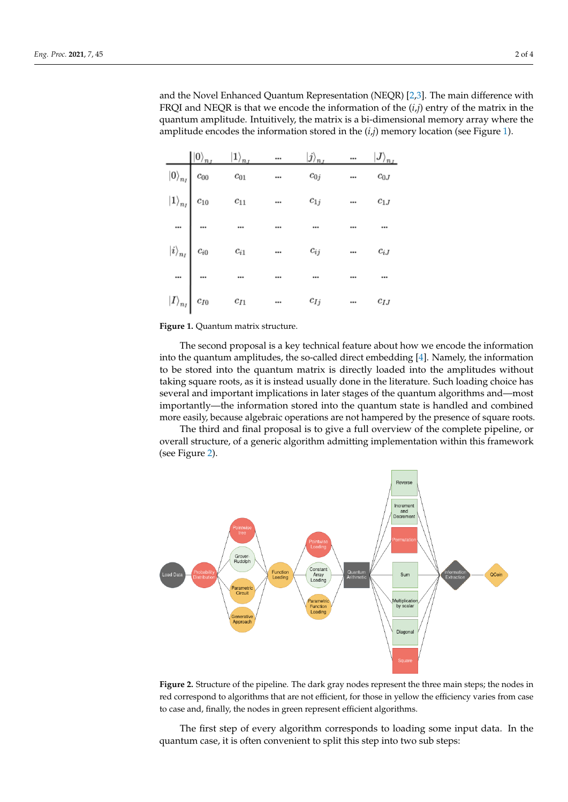and the Novel Enhanced Quantum Representation (NEQR) [\[2](#page-2-1)[,3\]](#page-2-2). The main difference with FRQI and NEQR is that we encode the information of the (*i*,*j*) entry of the matrix in the quantum amplitude. Intuitively, the matrix is a bi-dimensional memory array where the amplitude encodes the information stored in the  $(i,j)$  memory location (see Figure [1\)](#page-1-0).

<span id="page-1-0"></span>

| $\ket{\ket{0}_{n_J}}$ | $\ket{1}_{n_J}$                                                                                                                                                                                                                           | $\cdots$                 | $\ket{j}_{n_J}$ | $\dddot{\ }$             | $\ket{J}_{n_J}$              |
|-----------------------|-------------------------------------------------------------------------------------------------------------------------------------------------------------------------------------------------------------------------------------------|--------------------------|-----------------|--------------------------|------------------------------|
|                       |                                                                                                                                                                                                                                           |                          | $c_{0j}$        |                          | $c_{0J}$                     |
|                       |                                                                                                                                                                                                                                           |                          | $c_{1j}$        |                          | $c_{1J}$                     |
|                       |                                                                                                                                                                                                                                           |                          |                 |                          |                              |
|                       | $\begin{CD}  0\rangle_{n_I} &  1\rangle_{n_I} \ \hline  0\rangle_{n_I} & c_{00} & c_{01} \  1\rangle_{n_I} & c_{10} & c_{11} \  &  &  \  i\rangle_{n_I} & c_{i0} & c_{i1} \  &  &  \  I\rangle_{n_I} & c_{I0} & c_{I1} \  &  &  \end{CD}$ |                          | $c_{ij}$        |                          | $c_{iJ}$                     |
|                       |                                                                                                                                                                                                                                           |                          |                 |                          |                              |
|                       |                                                                                                                                                                                                                                           | $\overline{\phantom{a}}$ | $c_{Ij}$        | $\overline{\phantom{a}}$ | $c_{\mathcal{I}\mathcal{J}}$ |

**Figure 1.** Quantum matrix structure.

The second proposal is a key technical feature about how we encode the information into the quantum amplitudes, the so-called direct embedding [\[4\]](#page-2-3). Namely, the information to be stored into the quantum matrix is directly loaded into the amplitudes without taking square roots, as it is instead usually done in the literature. Such loading choice has several and important implications in later stages of the quantum algorithms and—most importantly—the information stored into the quantum state is handled and combined more easily, because algebraic operations are not hampered by the presence of square roots.

The third and final proposal is to give a full overview of the complete pipeline, or overall structure, of a generic algorithm admitting implementation within this framework (see Figure [2\)](#page-1-1).

<span id="page-1-1"></span>



The first step of every algorithm corresponds to loading some input data. In the quantum case, it is often convenient to split this step into two sub steps: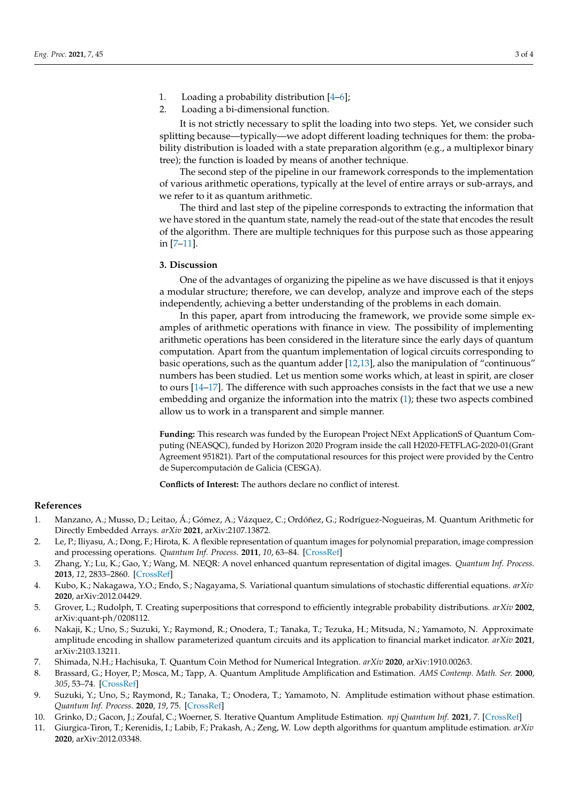- 1. Loading a probability distribution [\[4](#page-2-3)[–6\]](#page-2-4);
- 2. Loading a bi-dimensional function.

It is not strictly necessary to split the loading into two steps. Yet, we consider such splitting because—typically—we adopt different loading techniques for them: the probability distribution is loaded with a state preparation algorithm (e.g., a multiplexor binary tree); the function is loaded by means of another technique.

The second step of the pipeline in our framework corresponds to the implementation of various arithmetic operations, typically at the level of entire arrays or sub-arrays, and we refer to it as quantum arithmetic.

The third and last step of the pipeline corresponds to extracting the information that we have stored in the quantum state, namely the read-out of the state that encodes the result of the algorithm. There are multiple techniques for this purpose such as those appearing in [\[7–](#page-2-5)[11\]](#page-2-6).

# **3. Discussion**

One of the advantages of organizing the pipeline as we have discussed is that it enjoys a modular structure; therefore, we can develop, analyze and improve each of the steps independently, achieving a better understanding of the problems in each domain.

In this paper, apart from introducing the framework, we provide some simple examples of arithmetic operations with finance in view. The possibility of implementing arithmetic operations has been considered in the literature since the early days of quantum computation. Apart from the quantum implementation of logical circuits corresponding to basic operations, such as the quantum adder [\[12](#page-3-0)[,13\]](#page-3-1), also the manipulation of "continuous" numbers has been studied. Let us mention some works which, at least in spirit, are closer to ours [\[14](#page-3-2)[–17\]](#page-3-3). The difference with such approaches consists in the fact that we use a new embedding and organize the information into the matrix [\(1\)](#page-0-0); these two aspects combined allow us to work in a transparent and simple manner.

**Funding:** This research was funded by the European Project NExt ApplicationS of Quantum Computing (NEASQC), funded by Horizon 2020 Program inside the call H2020-FETFLAG-2020-01(Grant Agreement 951821). Part of the computational resources for this project were provided by the Centro de Supercomputación de Galicia (CESGA).

**Conflicts of Interest:** The authors declare no conflict of interest.

#### **References**

- <span id="page-2-0"></span>1. Manzano, A.; Musso, D.; Leitao, Á.; Gómez, A.; Vázquez, C.; Ordóñez, G.; Rodríguez-Nogueiras, M. Quantum Arithmetic for Directly Embedded Arrays. *arXiv* **2021**, arXiv:2107.13872.
- <span id="page-2-1"></span>2. Le, P.; Iliyasu, A.; Dong, F.; Hirota, K. A flexible representation of quantum images for polynomial preparation, image compression and processing operations. *Quantum Inf. Process.* **2011**, *10*, 63–84. [\[CrossRef\]](http://doi.org/10.1007/s11128-010-0177-y)
- <span id="page-2-2"></span>3. Zhang, Y.; Lu, K.; Gao, Y.; Wang, M. NEQR: A novel enhanced quantum representation of digital images. *Quantum Inf. Process.* **2013**, *12*, 2833–2860. [\[CrossRef\]](http://dx.doi.org/10.1007/s11128-013-0567-z)
- <span id="page-2-3"></span>4. Kubo, K.; Nakagawa, Y.O.; Endo, S.; Nagayama, S. Variational quantum simulations of stochastic differential equations. *arXiv* **2020**, arXiv:2012.04429.
- 5. Grover, L.; Rudolph, T. Creating superpositions that correspond to efficiently integrable probability distributions. *arXiv* **2002**, arXiv:quant-ph/0208112.
- <span id="page-2-4"></span>6. Nakaji, K.; Uno, S.; Suzuki, Y.; Raymond, R.; Onodera, T.; Tanaka, T.; Tezuka, H.; Mitsuda, N.; Yamamoto, N. Approximate amplitude encoding in shallow parameterized quantum circuits and its application to financial market indicator. *arXiv* **2021**, arXiv:2103.13211.
- <span id="page-2-5"></span>7. Shimada, N.H.; Hachisuka, T. Quantum Coin Method for Numerical Integration. *arXiv* **2020**, arXiv:1910.00263.
- 8. Brassard, G.; Hoyer, P.; Mosca, M.; Tapp, A. Quantum Amplitude Amplification and Estimation. *AMS Contemp. Math. Ser.* **2000**, *305*, 53–74. [\[CrossRef\]](http://dx.doi.org/10.1090/conm/305/05215)
- 9. Suzuki, Y.; Uno, S.; Raymond, R.; Tanaka, T.; Onodera, T.; Yamamoto, N. Amplitude estimation without phase estimation. *Quantum Inf. Process.* **2020**, *19*, 75. [\[CrossRef\]](http://dx.doi.org/10.1007/s11128-019-2565-2)
- 10. Grinko, D.; Gacon, J.; Zoufal, C.; Woerner, S. Iterative Quantum Amplitude Estimation. *npj Quantum Inf.* **2021**, *7*. [\[CrossRef\]](http://dx.doi.org/10.1038/s41534-021-00379-1)
- <span id="page-2-6"></span>11. Giurgica-Tiron, T.; Kerenidis, I.; Labib, F.; Prakash, A.; Zeng, W. Low depth algorithms for quantum amplitude estimation. *arXiv* **2020**, arXiv:2012.03348.